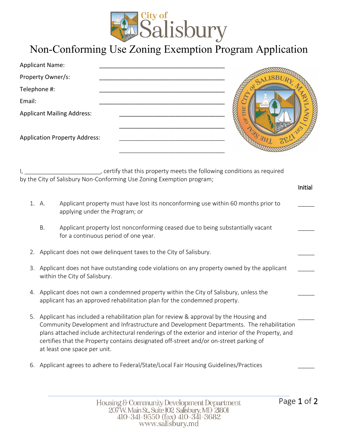

## Non-Conforming Use Zoning Exemption Program Application

| <b>Applicant Name:</b>               |  |
|--------------------------------------|--|
| Property Owner/s:                    |  |
| Telephone #:                         |  |
| Email:                               |  |
| <b>Applicant Mailing Address:</b>    |  |
|                                      |  |
| <b>Application Property Address:</b> |  |
|                                      |  |
|                                      |  |

I, L, L, L, Certify that this property meets the following conditions as required by the City of Salisbury Non-Conforming Use Zoning Exemption program;

| 1. A. | Applicant property must have lost its nonconforming use within 60 months prior to |
|-------|-----------------------------------------------------------------------------------|
|       | applying under the Program; or                                                    |

- B. Applicant property lost nonconforming ceased due to being substantially vacant for a continuous period of one year.
- 2. Applicant does not owe delinquent taxes to the City of Salisbury.
- 3. Applicant does not have outstanding code violations on any property owned by the applicant within the City of Salisbury.
- 4. Applicant does not own a condemned property within the City of Salisbury, unless the applicant has an approved rehabilitation plan for the condemned property.
- 5. Applicant has included a rehabilitation plan for review & approval by the Housing and Community Development and Infrastructure and Development Departments. The rehabilitation plans attached include architectural renderings of the exterior and interior of the Property, and certifies that the Property contains designated off-street and/or on-street parking of at least one space per unit.
- 6. Applicant agrees to adhere to Federal/State/Local Fair Housing Guidelines/Practices

Initial